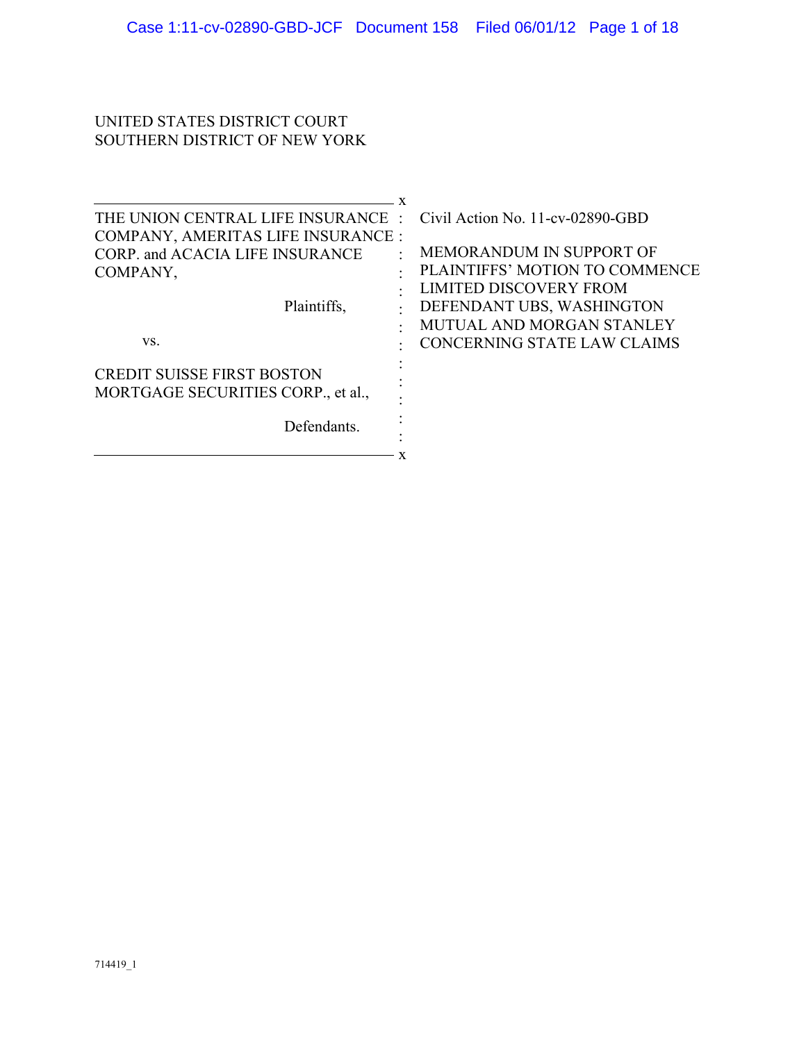### UNITED STATES DISTRICT COURT SOUTHERN DISTRICT OF NEW YORK

| THE UNION CENTRAL LIFE INSURANCE : Civil Action No. 11-cv-02890-GBD |                                |
|---------------------------------------------------------------------|--------------------------------|
| COMPANY, AMERITAS LIFE INSURANCE :                                  |                                |
| <b>CORP.</b> and <b>ACACIA LIFE INSURANCE</b>                       | MEMORANDUM IN SUPPORT OF       |
| COMPANY,                                                            | PLAINTIFFS' MOTION TO COMMENCE |
|                                                                     | <b>LIMITED DISCOVERY FROM</b>  |
| Plaintiffs,                                                         | DEFENDANT UBS, WASHINGTON      |
|                                                                     | MUTUAL AND MORGAN STANLEY      |
| VS.                                                                 | CONCERNING STATE LAW CLAIMS    |
| <b>CREDIT SUISSE FIRST BOSTON</b>                                   |                                |
| MORTGAGE SECURITIES CORP., et al.,                                  |                                |
| Defendants.                                                         |                                |
|                                                                     |                                |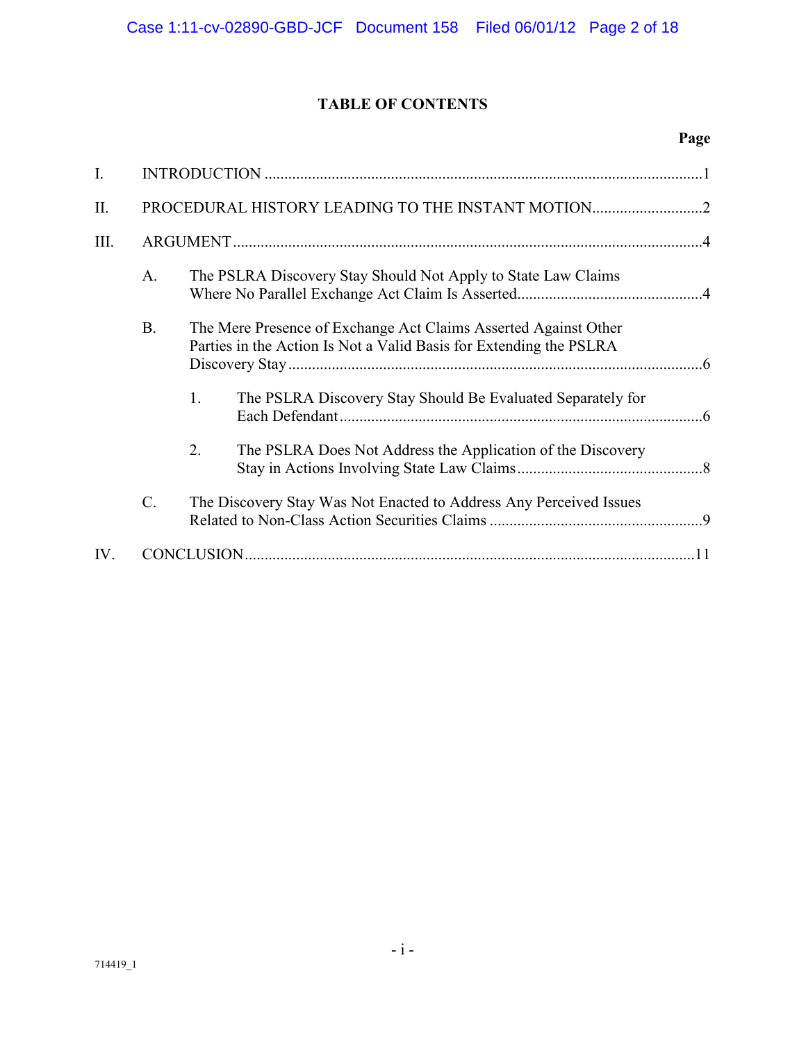# **TABLE OF CONTENTS**

## **Page**

| $I_{\cdot}$ |                 |                                                                                                                                       |
|-------------|-----------------|---------------------------------------------------------------------------------------------------------------------------------------|
| Π.          |                 |                                                                                                                                       |
| III.        |                 |                                                                                                                                       |
|             | $A_{\cdot}$     | The PSLRA Discovery Stay Should Not Apply to State Law Claims                                                                         |
|             | <b>B.</b>       | The Mere Presence of Exchange Act Claims Asserted Against Other<br>Parties in the Action Is Not a Valid Basis for Extending the PSLRA |
|             |                 | 1.<br>The PSLRA Discovery Stay Should Be Evaluated Separately for                                                                     |
|             |                 | 2.<br>The PSLRA Does Not Address the Application of the Discovery                                                                     |
|             | $\mathcal{C}$ . | The Discovery Stay Was Not Enacted to Address Any Perceived Issues                                                                    |
| IV.         |                 |                                                                                                                                       |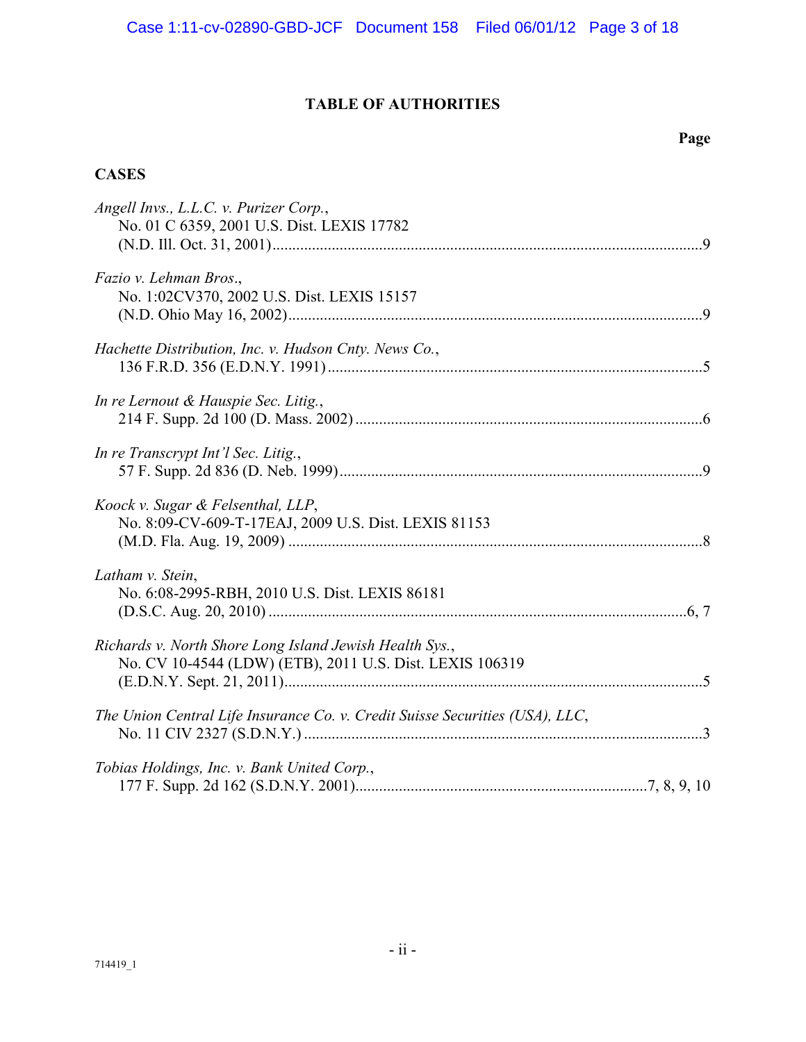# **TABLE OF AUTHORITIES**

## **Page**

## **CASES**

| Angell Invs., L.L.C. v. Purizer Corp.,<br>No. 01 C 6359, 2001 U.S. Dist. LEXIS 17782                                |  |
|---------------------------------------------------------------------------------------------------------------------|--|
| Fazio v. Lehman Bros.,<br>No. 1:02CV370, 2002 U.S. Dist. LEXIS 15157                                                |  |
| Hachette Distribution, Inc. v. Hudson Cnty. News Co.,                                                               |  |
| In re Lernout & Hauspie Sec. Litig.,                                                                                |  |
| In re Transcrypt Int'l Sec. Litig.,                                                                                 |  |
| Koock v. Sugar & Felsenthal, LLP,<br>No. 8:09-CV-609-T-17EAJ, 2009 U.S. Dist. LEXIS 81153                           |  |
| Latham v. Stein,<br>No. 6:08-2995-RBH, 2010 U.S. Dist. LEXIS 86181                                                  |  |
| Richards v. North Shore Long Island Jewish Health Sys.,<br>No. CV 10-4544 (LDW) (ETB), 2011 U.S. Dist. LEXIS 106319 |  |
| The Union Central Life Insurance Co. v. Credit Suisse Securities (USA), LLC,                                        |  |
| Tobias Holdings, Inc. v. Bank United Corp.,                                                                         |  |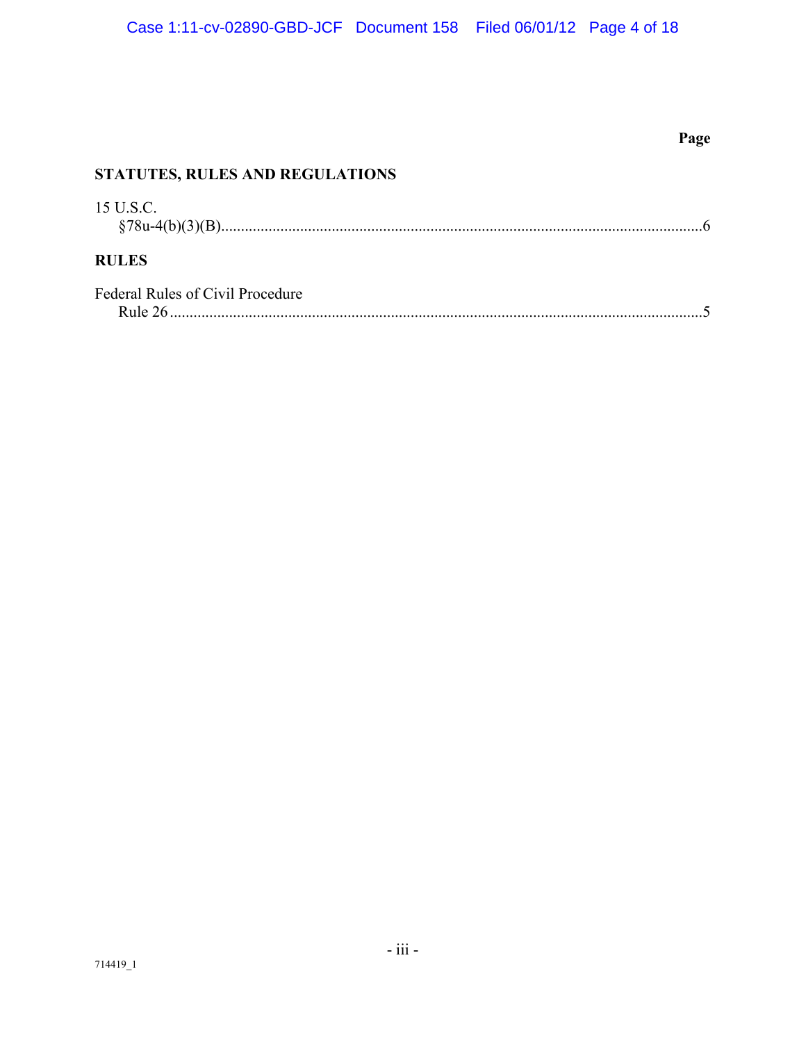# **Page**

# **STATUTES, RULES AND REGULATIONS**

| 15 U.S.C.                               |  |
|-----------------------------------------|--|
| <b>RULES</b>                            |  |
| <b>Federal Rules of Civil Procedure</b> |  |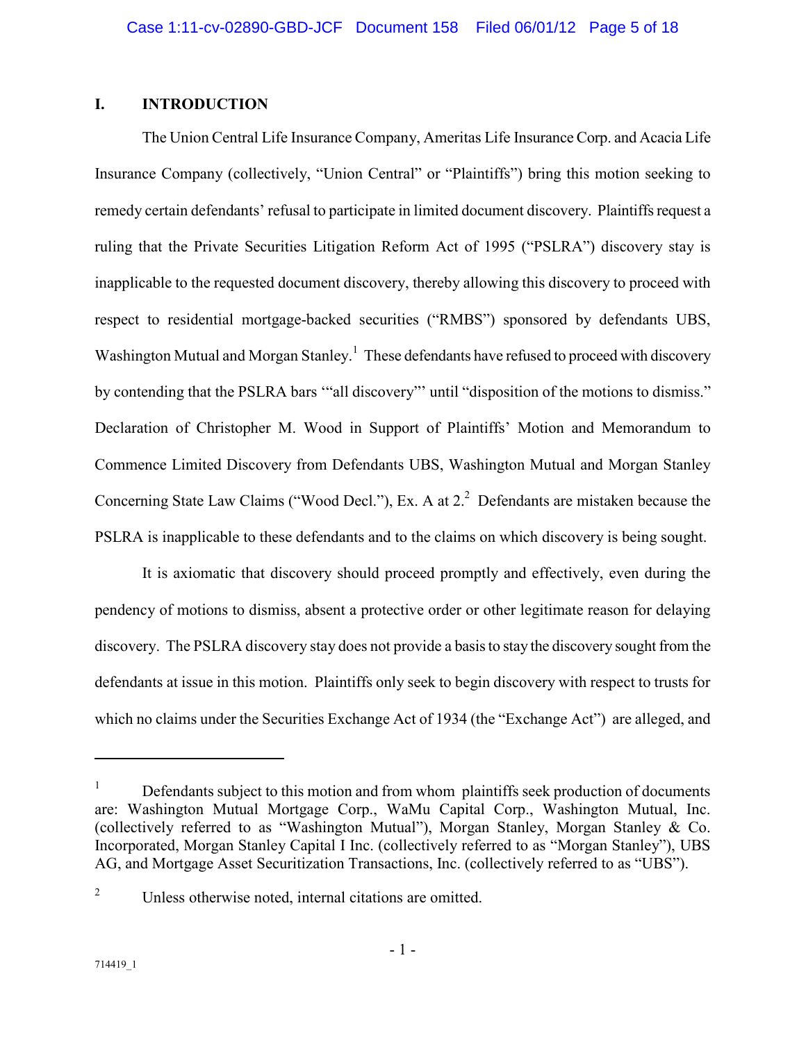### **I. INTRODUCTION**

The Union Central Life Insurance Company, Ameritas Life Insurance Corp. and Acacia Life Insurance Company (collectively, "Union Central" or "Plaintiffs") bring this motion seeking to remedy certain defendants' refusal to participate in limited document discovery. Plaintiffs request a ruling that the Private Securities Litigation Reform Act of 1995 ("PSLRA") discovery stay is inapplicable to the requested document discovery, thereby allowing this discovery to proceed with respect to residential mortgage-backed securities ("RMBS") sponsored by defendants UBS, Washington Mutual and Morgan Stanley.<sup>1</sup> These defendants have refused to proceed with discovery by contending that the PSLRA bars '"all discovery"' until "disposition of the motions to dismiss." Declaration of Christopher M. Wood in Support of Plaintiffs' Motion and Memorandum to Commence Limited Discovery from Defendants UBS, Washington Mutual and Morgan Stanley Concerning State Law Claims ("Wood Decl."), Ex. A at  $2<sup>2</sup>$  Defendants are mistaken because the PSLRA is inapplicable to these defendants and to the claims on which discovery is being sought.

It is axiomatic that discovery should proceed promptly and effectively, even during the pendency of motions to dismiss, absent a protective order or other legitimate reason for delaying discovery. The PSLRA discovery stay does not provide a basis to stay the discovery sought from the defendants at issue in this motion. Plaintiffs only seek to begin discovery with respect to trusts for which no claims under the Securities Exchange Act of 1934 (the "Exchange Act") are alleged, and

-

<sup>1</sup> Defendants subject to this motion and from whom plaintiffs seek production of documents are: Washington Mutual Mortgage Corp., WaMu Capital Corp., Washington Mutual, Inc. (collectively referred to as "Washington Mutual"), Morgan Stanley, Morgan Stanley & Co. Incorporated, Morgan Stanley Capital I Inc. (collectively referred to as "Morgan Stanley"), UBS AG, and Mortgage Asset Securitization Transactions, Inc. (collectively referred to as "UBS").

<sup>2</sup> Unless otherwise noted, internal citations are omitted.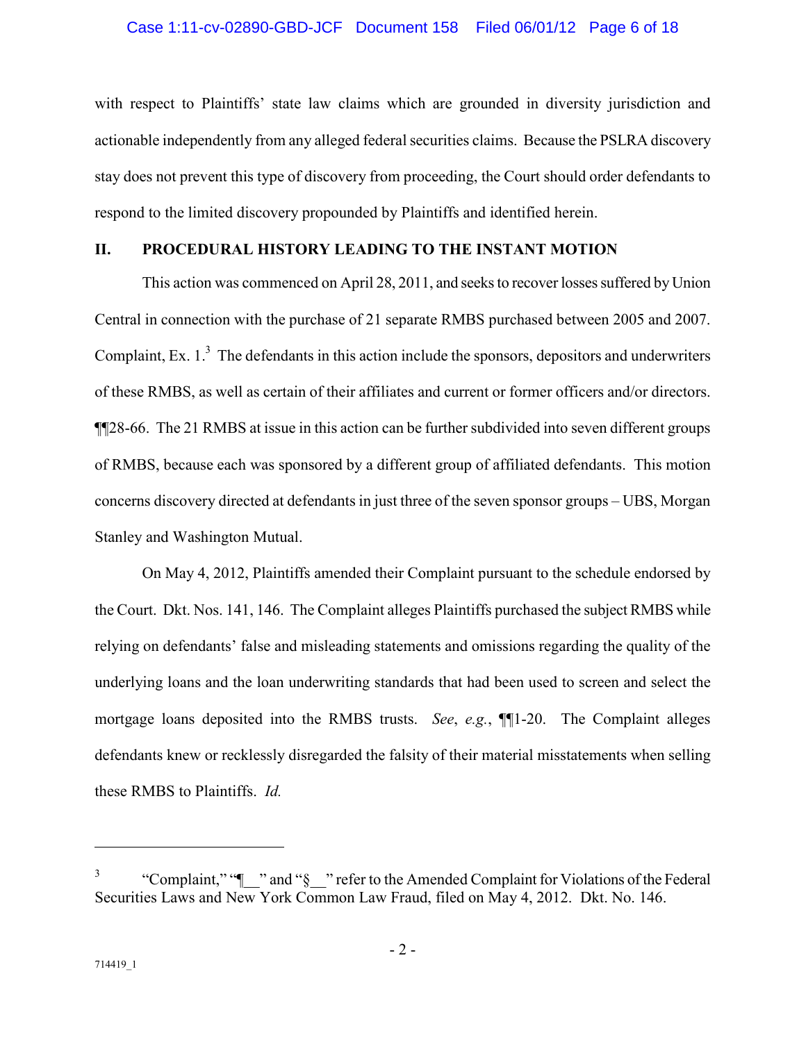with respect to Plaintiffs' state law claims which are grounded in diversity jurisdiction and actionable independently from any alleged federal securities claims. Because the PSLRA discovery stay does not prevent this type of discovery from proceeding, the Court should order defendants to respond to the limited discovery propounded by Plaintiffs and identified herein.

## **II. PROCEDURAL HISTORY LEADING TO THE INSTANT MOTION**

This action was commenced on April 28, 2011, and seeks to recover losses suffered by Union Central in connection with the purchase of 21 separate RMBS purchased between 2005 and 2007. Complaint, Ex.  $1<sup>3</sup>$  The defendants in this action include the sponsors, depositors and underwriters of these RMBS, as well as certain of their affiliates and current or former officers and/or directors. ¶¶28-66. The 21 RMBS at issue in this action can be further subdivided into seven different groups of RMBS, because each was sponsored by a different group of affiliated defendants. This motion concerns discovery directed at defendants in just three of the seven sponsor groups – UBS, Morgan Stanley and Washington Mutual.

On May 4, 2012, Plaintiffs amended their Complaint pursuant to the schedule endorsed by the Court. Dkt. Nos. 141, 146. The Complaint alleges Plaintiffs purchased the subject RMBS while relying on defendants' false and misleading statements and omissions regarding the quality of the underlying loans and the loan underwriting standards that had been used to screen and select the mortgage loans deposited into the RMBS trusts. *See*, *e.g.*, ¶¶1-20. The Complaint alleges defendants knew or recklessly disregarded the falsity of their material misstatements when selling these RMBS to Plaintiffs. *Id.*

<sup>3</sup> "Complaint," "¶\_\_" and "§\_\_" refer to the Amended Complaint for Violations of the Federal Securities Laws and New York Common Law Fraud, filed on May 4, 2012. Dkt. No. 146.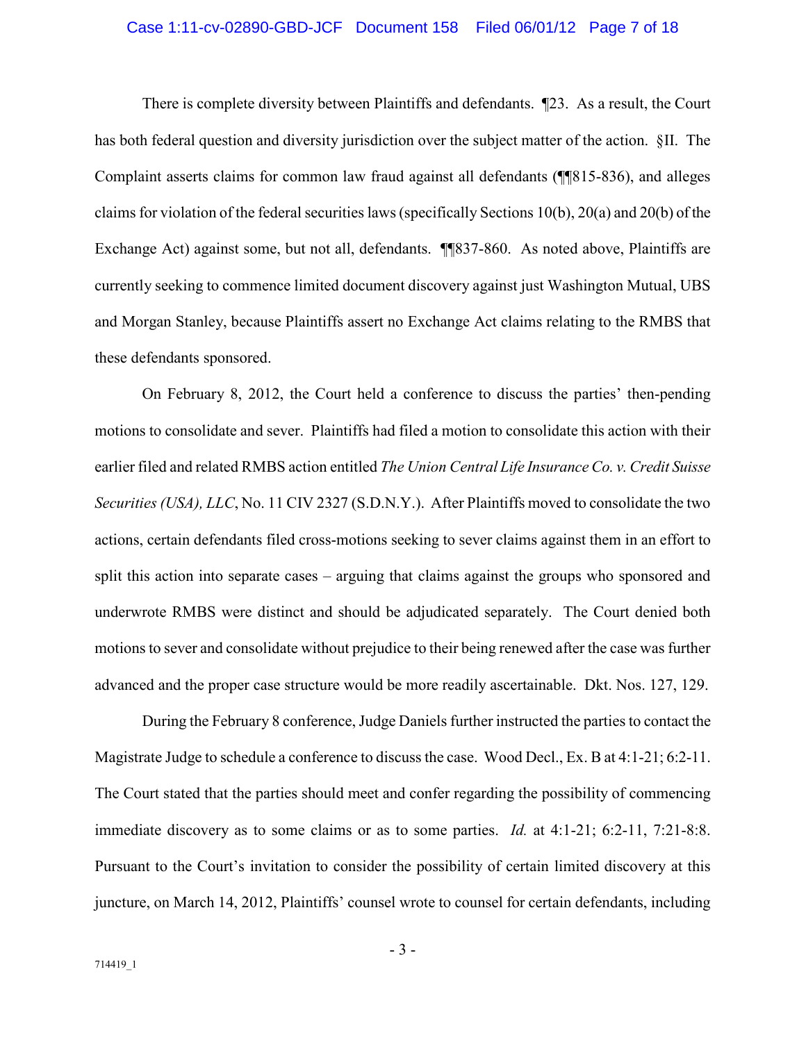#### Case 1:11-cv-02890-GBD-JCF Document 158 Filed 06/01/12 Page 7 of 18

There is complete diversity between Plaintiffs and defendants. ¶23. As a result, the Court has both federal question and diversity jurisdiction over the subject matter of the action. §II. The Complaint asserts claims for common law fraud against all defendants (¶¶815-836), and alleges claims for violation of the federal securities laws (specifically Sections 10(b), 20(a) and 20(b) of the Exchange Act) against some, but not all, defendants. ¶¶837-860. As noted above, Plaintiffs are currently seeking to commence limited document discovery against just Washington Mutual, UBS and Morgan Stanley, because Plaintiffs assert no Exchange Act claims relating to the RMBS that these defendants sponsored.

On February 8, 2012, the Court held a conference to discuss the parties' then-pending motions to consolidate and sever. Plaintiffs had filed a motion to consolidate this action with their earlier filed and related RMBS action entitled *The Union Central Life Insurance Co. v. Credit Suisse Securities (USA), LLC*, No. 11 CIV 2327 (S.D.N.Y.). After Plaintiffs moved to consolidate the two actions, certain defendants filed cross-motions seeking to sever claims against them in an effort to split this action into separate cases – arguing that claims against the groups who sponsored and underwrote RMBS were distinct and should be adjudicated separately. The Court denied both motions to sever and consolidate without prejudice to their being renewed after the case was further advanced and the proper case structure would be more readily ascertainable. Dkt. Nos. 127, 129.

During the February 8 conference, Judge Daniels further instructed the parties to contact the Magistrate Judge to schedule a conference to discuss the case. Wood Decl., Ex. B at 4:1-21; 6:2-11. The Court stated that the parties should meet and confer regarding the possibility of commencing immediate discovery as to some claims or as to some parties. *Id.* at 4:1-21; 6:2-11, 7:21-8:8. Pursuant to the Court's invitation to consider the possibility of certain limited discovery at this juncture, on March 14, 2012, Plaintiffs' counsel wrote to counsel for certain defendants, including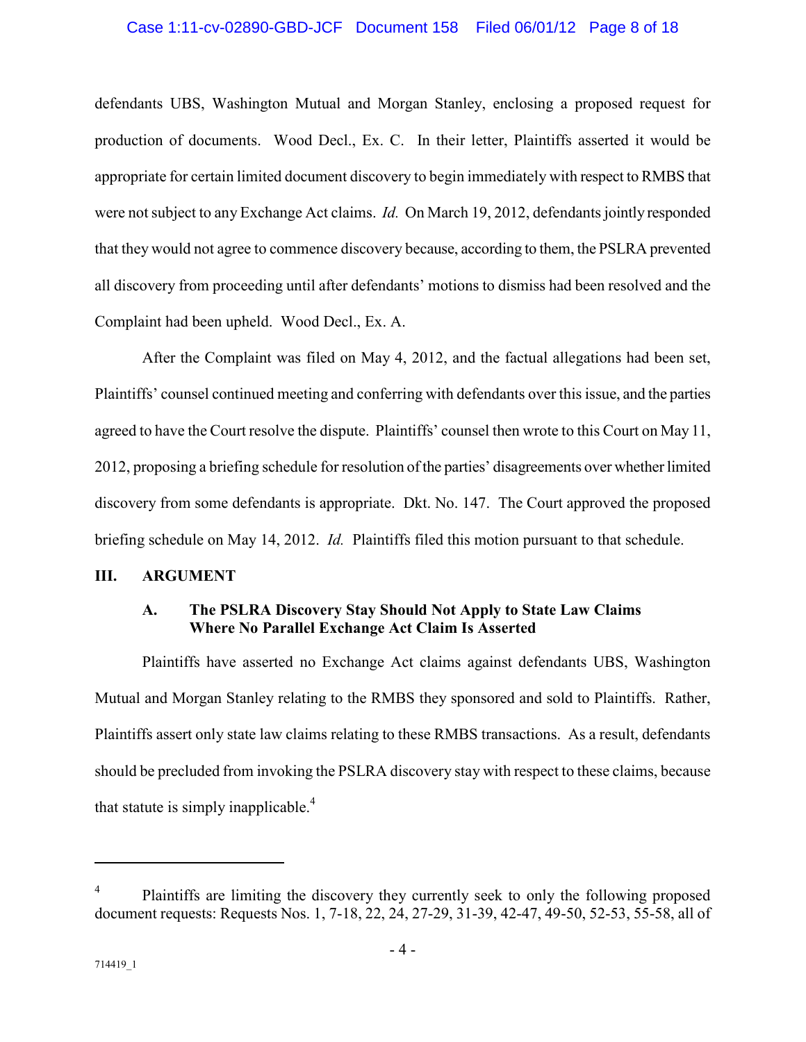#### Case 1:11-cv-02890-GBD-JCF Document 158 Filed 06/01/12 Page 8 of 18

defendants UBS, Washington Mutual and Morgan Stanley, enclosing a proposed request for production of documents. Wood Decl., Ex. C. In their letter, Plaintiffs asserted it would be appropriate for certain limited document discovery to begin immediately with respect to RMBS that were not subject to any Exchange Act claims. *Id.* On March 19, 2012, defendants jointly responded that they would not agree to commence discovery because, according to them, the PSLRA prevented all discovery from proceeding until after defendants' motions to dismiss had been resolved and the Complaint had been upheld. Wood Decl., Ex. A.

After the Complaint was filed on May 4, 2012, and the factual allegations had been set, Plaintiffs' counsel continued meeting and conferring with defendants over this issue, and the parties agreed to have the Court resolve the dispute. Plaintiffs' counsel then wrote to this Court on May 11, 2012, proposing a briefing schedule for resolution of the parties' disagreements over whether limited discovery from some defendants is appropriate. Dkt. No. 147. The Court approved the proposed briefing schedule on May 14, 2012. *Id.* Plaintiffs filed this motion pursuant to that schedule.

#### **III. ARGUMENT**

### **A. The PSLRA Discovery Stay Should Not Apply to State Law Claims Where No Parallel Exchange Act Claim Is Asserted**

Plaintiffs have asserted no Exchange Act claims against defendants UBS, Washington Mutual and Morgan Stanley relating to the RMBS they sponsored and sold to Plaintiffs. Rather, Plaintiffs assert only state law claims relating to these RMBS transactions. As a result, defendants should be precluded from invoking the PSLRA discovery stay with respect to these claims, because that statute is simply inapplicable. $4$ 

<sup>4</sup> Plaintiffs are limiting the discovery they currently seek to only the following proposed document requests: Requests Nos. 1, 7-18, 22, 24, 27-29, 31-39, 42-47, 49-50, 52-53, 55-58, all of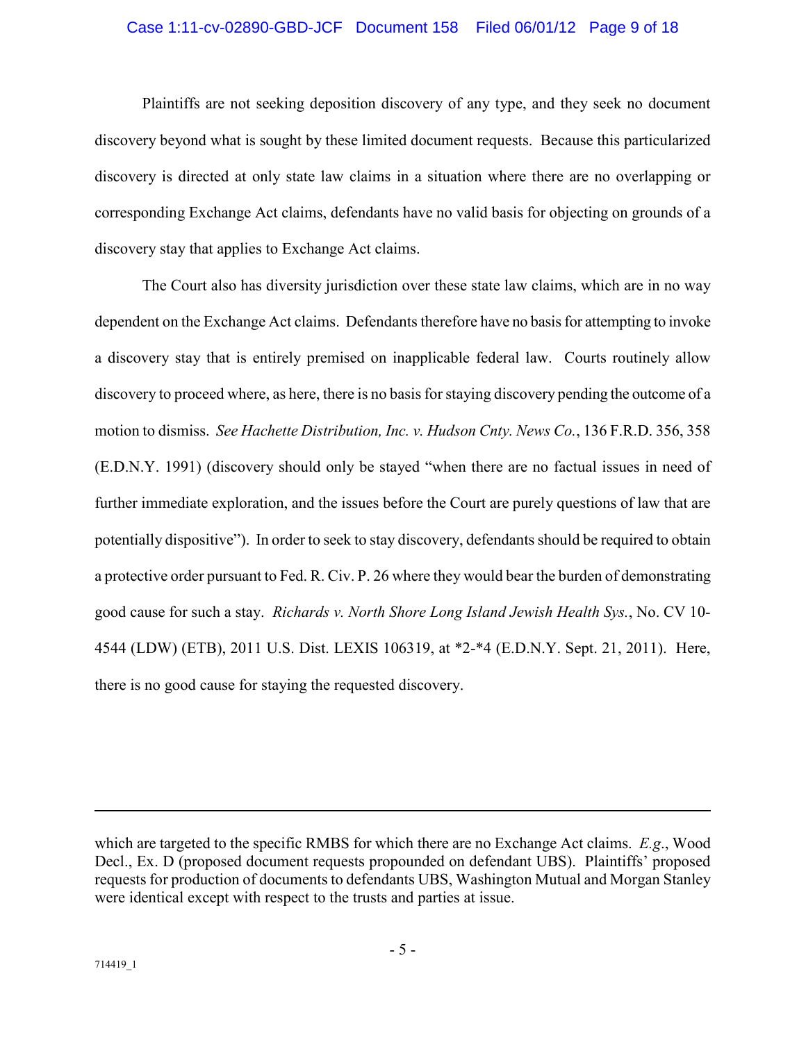#### Case 1:11-cv-02890-GBD-JCF Document 158 Filed 06/01/12 Page 9 of 18

Plaintiffs are not seeking deposition discovery of any type, and they seek no document discovery beyond what is sought by these limited document requests. Because this particularized discovery is directed at only state law claims in a situation where there are no overlapping or corresponding Exchange Act claims, defendants have no valid basis for objecting on grounds of a discovery stay that applies to Exchange Act claims.

The Court also has diversity jurisdiction over these state law claims, which are in no way dependent on the Exchange Act claims. Defendants therefore have no basis for attempting to invoke a discovery stay that is entirely premised on inapplicable federal law. Courts routinely allow discovery to proceed where, as here, there is no basis for staying discovery pending the outcome of a motion to dismiss. *See Hachette Distribution, Inc. v. Hudson Cnty. News Co.*, 136 F.R.D. 356, 358 (E.D.N.Y. 1991) (discovery should only be stayed "when there are no factual issues in need of further immediate exploration, and the issues before the Court are purely questions of law that are potentially dispositive"). In order to seek to stay discovery, defendants should be required to obtain a protective order pursuant to Fed. R. Civ. P. 26 where they would bear the burden of demonstrating good cause for such a stay. *Richards v. North Shore Long Island Jewish Health Sys.*, No. CV 10- 4544 (LDW) (ETB), 2011 U.S. Dist. LEXIS 106319, at \*2-\*4 (E.D.N.Y. Sept. 21, 2011). Here, there is no good cause for staying the requested discovery.

which are targeted to the specific RMBS for which there are no Exchange Act claims. *E.g*., Wood Decl., Ex. D (proposed document requests propounded on defendant UBS). Plaintiffs' proposed requests for production of documents to defendants UBS, Washington Mutual and Morgan Stanley were identical except with respect to the trusts and parties at issue.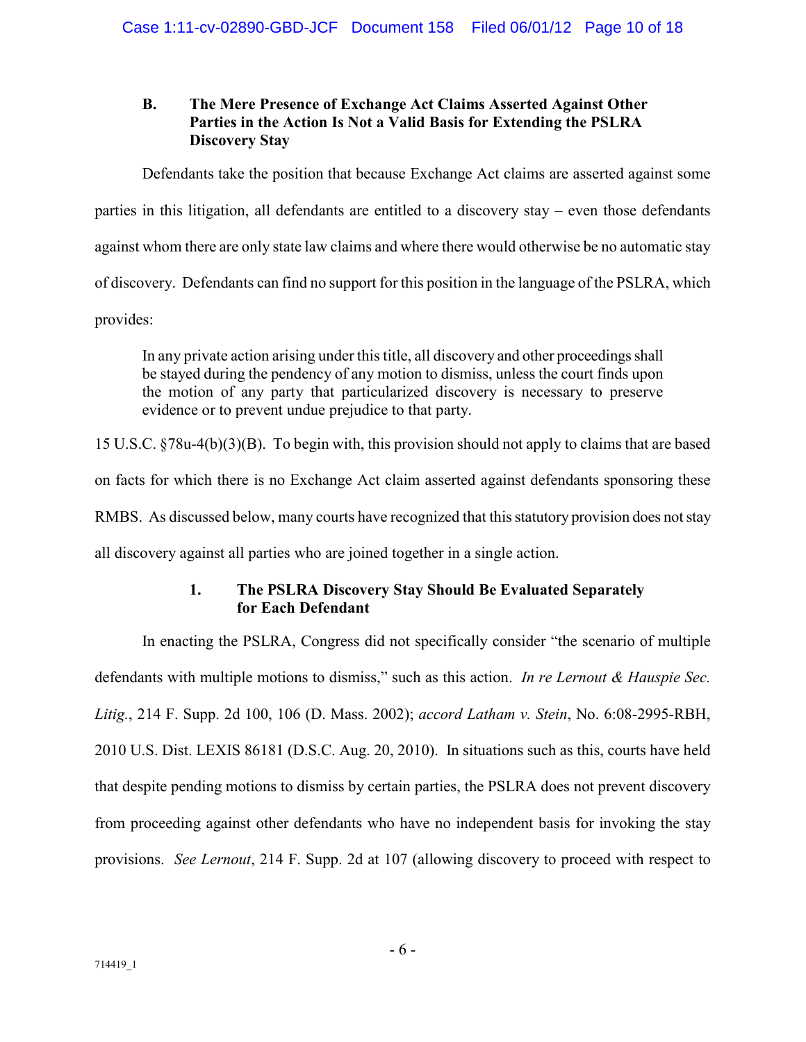### **B. The Mere Presence of Exchange Act Claims Asserted Against Other Parties in the Action Is Not a Valid Basis for Extending the PSLRA Discovery Stay**

Defendants take the position that because Exchange Act claims are asserted against some parties in this litigation, all defendants are entitled to a discovery stay – even those defendants against whom there are only state law claims and where there would otherwise be no automatic stay of discovery. Defendants can find no support for this position in the language of the PSLRA, which provides:

In any private action arising under this title, all discovery and other proceedings shall be stayed during the pendency of any motion to dismiss, unless the court finds upon the motion of any party that particularized discovery is necessary to preserve evidence or to prevent undue prejudice to that party.

15 U.S.C. §78u-4(b)(3)(B). To begin with, this provision should not apply to claims that are based on facts for which there is no Exchange Act claim asserted against defendants sponsoring these RMBS. As discussed below, many courts have recognized that this statutory provision does not stay all discovery against all parties who are joined together in a single action.

## **1. The PSLRA Discovery Stay Should Be Evaluated Separately for Each Defendant**

In enacting the PSLRA, Congress did not specifically consider "the scenario of multiple defendants with multiple motions to dismiss," such as this action. *In re Lernout & Hauspie Sec. Litig.*, 214 F. Supp. 2d 100, 106 (D. Mass. 2002); *accord Latham v. Stein*, No. 6:08-2995-RBH, 2010 U.S. Dist. LEXIS 86181 (D.S.C. Aug. 20, 2010). In situations such as this, courts have held that despite pending motions to dismiss by certain parties, the PSLRA does not prevent discovery from proceeding against other defendants who have no independent basis for invoking the stay provisions. *See Lernout*, 214 F. Supp. 2d at 107 (allowing discovery to proceed with respect to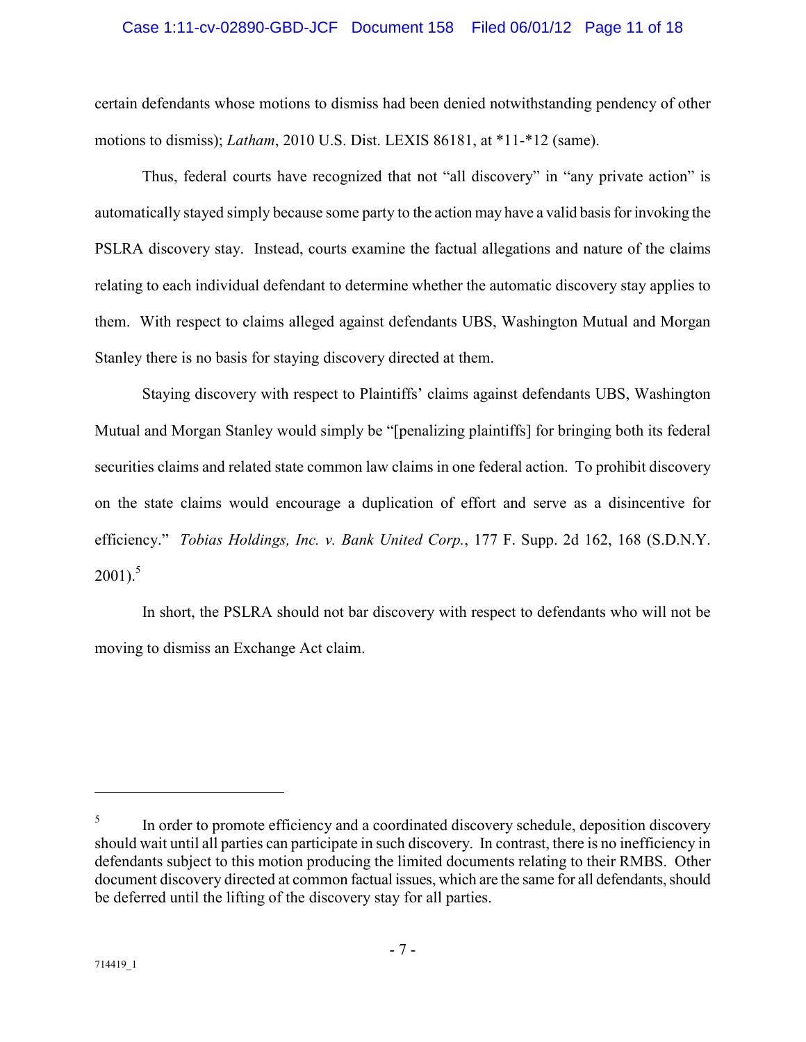#### Case 1:11-cv-02890-GBD-JCF Document 158 Filed 06/01/12 Page 11 of 18

certain defendants whose motions to dismiss had been denied notwithstanding pendency of other motions to dismiss); *Latham*, 2010 U.S. Dist. LEXIS 86181, at \*11-\*12 (same).

Thus, federal courts have recognized that not "all discovery" in "any private action" is automatically stayed simply because some party to the action may have a valid basis for invoking the PSLRA discovery stay. Instead, courts examine the factual allegations and nature of the claims relating to each individual defendant to determine whether the automatic discovery stay applies to them. With respect to claims alleged against defendants UBS, Washington Mutual and Morgan Stanley there is no basis for staying discovery directed at them.

Staying discovery with respect to Plaintiffs' claims against defendants UBS, Washington Mutual and Morgan Stanley would simply be "[penalizing plaintiffs] for bringing both its federal securities claims and related state common law claims in one federal action. To prohibit discovery on the state claims would encourage a duplication of effort and serve as a disincentive for efficiency." *Tobias Holdings, Inc. v. Bank United Corp.*, 177 F. Supp. 2d 162, 168 (S.D.N.Y.  $2001$ ).<sup>5</sup>

In short, the PSLRA should not bar discovery with respect to defendants who will not be moving to dismiss an Exchange Act claim.

<sup>5</sup> In order to promote efficiency and a coordinated discovery schedule, deposition discovery should wait until all parties can participate in such discovery. In contrast, there is no inefficiency in defendants subject to this motion producing the limited documents relating to their RMBS. Other document discovery directed at common factual issues, which are the same for all defendants, should be deferred until the lifting of the discovery stay for all parties.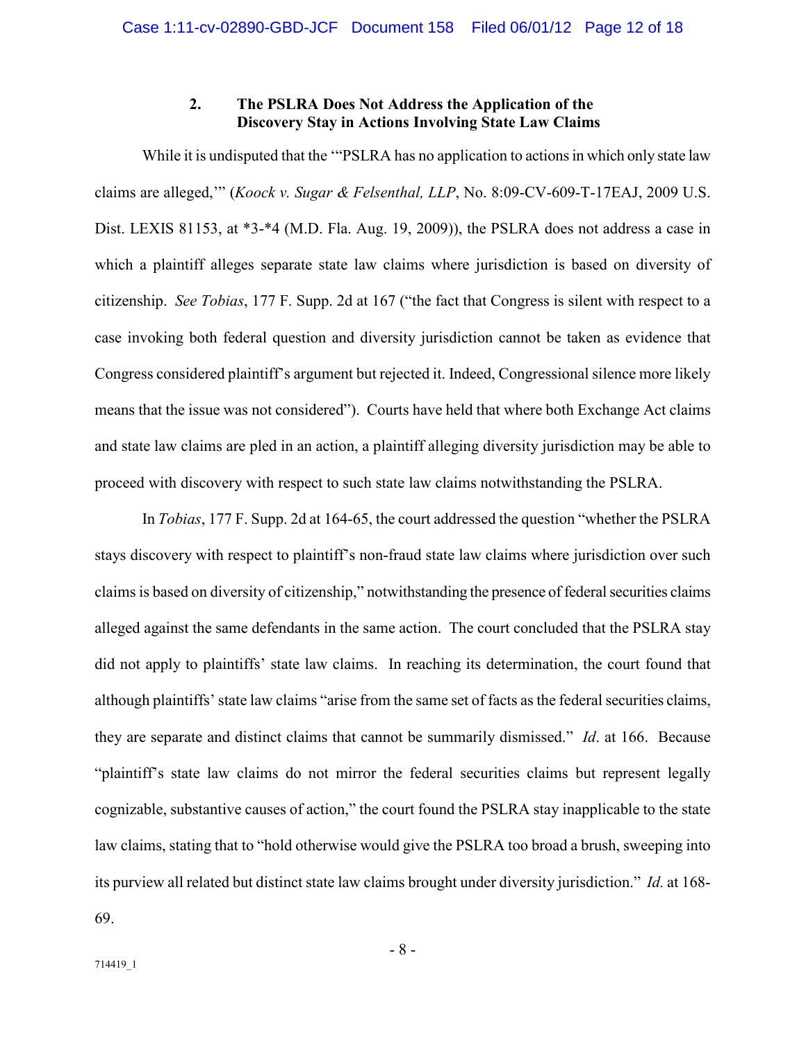#### **2. The PSLRA Does Not Address the Application of the Discovery Stay in Actions Involving State Law Claims**

While it is undisputed that the "PSLRA has no application to actions in which only state law claims are alleged,'" (*Koock v. Sugar & Felsenthal, LLP*, No. 8:09-CV-609-T-17EAJ, 2009 U.S. Dist. LEXIS 81153, at \*3-\*4 (M.D. Fla. Aug. 19, 2009)), the PSLRA does not address a case in which a plaintiff alleges separate state law claims where jurisdiction is based on diversity of citizenship. *See Tobias*, 177 F. Supp. 2d at 167 ("the fact that Congress is silent with respect to a case invoking both federal question and diversity jurisdiction cannot be taken as evidence that Congress considered plaintiff's argument but rejected it. Indeed, Congressional silence more likely means that the issue was not considered"). Courts have held that where both Exchange Act claims and state law claims are pled in an action, a plaintiff alleging diversity jurisdiction may be able to proceed with discovery with respect to such state law claims notwithstanding the PSLRA.

In *Tobias*, 177 F. Supp. 2d at 164-65, the court addressed the question "whether the PSLRA stays discovery with respect to plaintiff's non-fraud state law claims where jurisdiction over such claims is based on diversity of citizenship," notwithstanding the presence of federal securities claims alleged against the same defendants in the same action. The court concluded that the PSLRA stay did not apply to plaintiffs' state law claims. In reaching its determination, the court found that although plaintiffs' state law claims "arise from the same set of facts as the federal securities claims, they are separate and distinct claims that cannot be summarily dismissed." *Id*. at 166. Because "plaintiff's state law claims do not mirror the federal securities claims but represent legally cognizable, substantive causes of action," the court found the PSLRA stay inapplicable to the state law claims, stating that to "hold otherwise would give the PSLRA too broad a brush, sweeping into its purview all related but distinct state law claims brought under diversity jurisdiction." *Id.* at 168- 69.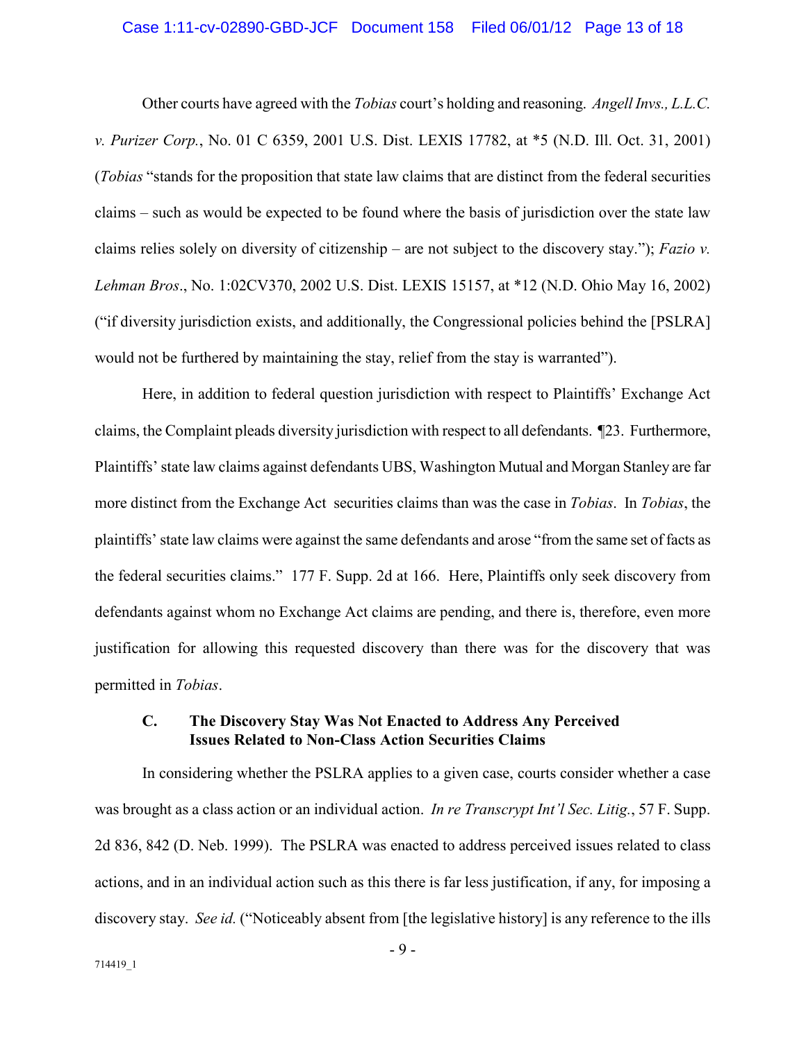#### Case 1:11-cv-02890-GBD-JCF Document 158 Filed 06/01/12 Page 13 of 18

Other courts have agreed with the *Tobias* court's holding and reasoning. *Angell Invs., L.L.C. v. Purizer Corp.*, No. 01 C 6359, 2001 U.S. Dist. LEXIS 17782, at \*5 (N.D. Ill. Oct. 31, 2001) (*Tobias* "stands for the proposition that state law claims that are distinct from the federal securities claims – such as would be expected to be found where the basis of jurisdiction over the state law claims relies solely on diversity of citizenship – are not subject to the discovery stay."); *Fazio v. Lehman Bros*., No. 1:02CV370, 2002 U.S. Dist. LEXIS 15157, at \*12 (N.D. Ohio May 16, 2002) ("if diversity jurisdiction exists, and additionally, the Congressional policies behind the [PSLRA] would not be furthered by maintaining the stay, relief from the stay is warranted").

Here, in addition to federal question jurisdiction with respect to Plaintiffs' Exchange Act claims, the Complaint pleads diversity jurisdiction with respect to all defendants. ¶23. Furthermore, Plaintiffs' state law claims against defendants UBS, Washington Mutual and Morgan Stanley are far more distinct from the Exchange Act securities claims than was the case in *Tobias*. In *Tobias*, the plaintiffs' state law claims were against the same defendants and arose "from the same set of facts as the federal securities claims." 177 F. Supp. 2d at 166. Here, Plaintiffs only seek discovery from defendants against whom no Exchange Act claims are pending, and there is, therefore, even more justification for allowing this requested discovery than there was for the discovery that was permitted in *Tobias*.

#### **C. The Discovery Stay Was Not Enacted to Address Any Perceived Issues Related to Non-Class Action Securities Claims**

In considering whether the PSLRA applies to a given case, courts consider whether a case was brought as a class action or an individual action. *In re Transcrypt Int'l Sec. Litig.*, 57 F. Supp. 2d 836, 842 (D. Neb. 1999). The PSLRA was enacted to address perceived issues related to class actions, and in an individual action such as this there is far less justification, if any, for imposing a discovery stay. *See id.* ("Noticeably absent from [the legislative history] is any reference to the ills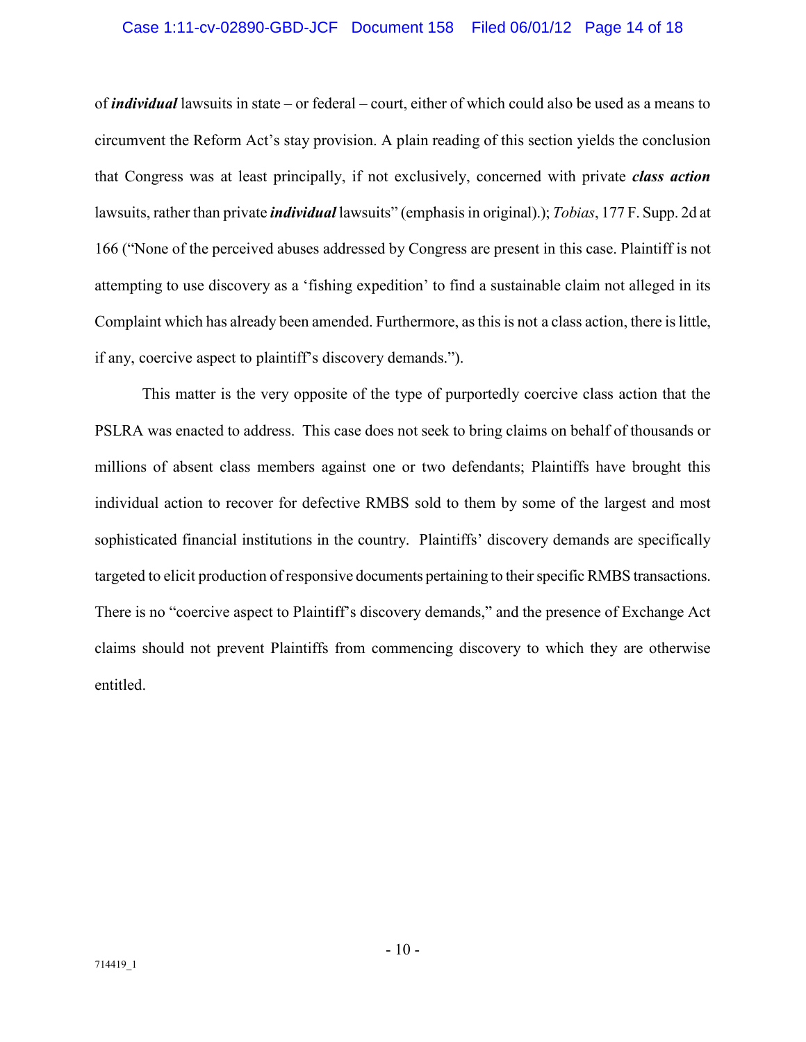#### Case 1:11-cv-02890-GBD-JCF Document 158 Filed 06/01/12 Page 14 of 18

of *individual* lawsuits in state – or federal – court, either of which could also be used as a means to circumvent the Reform Act's stay provision. A plain reading of this section yields the conclusion that Congress was at least principally, if not exclusively, concerned with private *class action* lawsuits, rather than private *individual* lawsuits" (emphasis in original).); *Tobias*, 177 F. Supp. 2d at 166 ("None of the perceived abuses addressed by Congress are present in this case. Plaintiff is not attempting to use discovery as a 'fishing expedition' to find a sustainable claim not alleged in its Complaint which has already been amended. Furthermore, as this is not a class action, there is little, if any, coercive aspect to plaintiff's discovery demands.").

This matter is the very opposite of the type of purportedly coercive class action that the PSLRA was enacted to address. This case does not seek to bring claims on behalf of thousands or millions of absent class members against one or two defendants; Plaintiffs have brought this individual action to recover for defective RMBS sold to them by some of the largest and most sophisticated financial institutions in the country. Plaintiffs' discovery demands are specifically targeted to elicit production of responsive documents pertaining to their specific RMBS transactions. There is no "coercive aspect to Plaintiff's discovery demands," and the presence of Exchange Act claims should not prevent Plaintiffs from commencing discovery to which they are otherwise entitled.